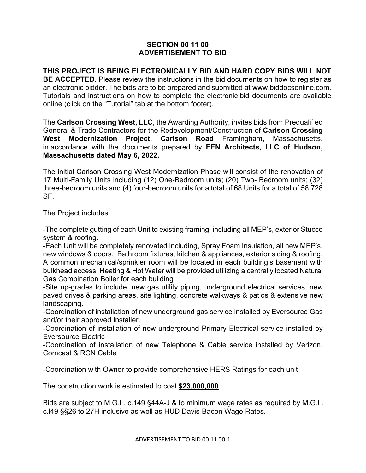## **SECTION 00 11 00 ADVERTISEMENT TO BID**

**THIS PROJECT IS BEING ELECTRONICALLY BID AND HARD COPY BIDS WILL NOT BE ACCEPTED**. Please review the instructions in the bid documents on how to register as an electronic bidder. The bids are to be prepared and submitted at [www.biddocsonline.com.](http://www.biddocsonline.com/) Tutorials and instructions on how to complete the electronic bid documents are available online (click on the "Tutorial" tab at the bottom footer).

The **Carlson Crossing West, LLC**, the Awarding Authority, invites bids from Prequalified General & Trade Contractors for the Redevelopment/Construction of **Carlson Crossing West Modernization Project, Carlson Road** Framingham, Massachusetts, in accordance with the documents prepared by **EFN Architects, LLC of Hudson, Massachusetts dated May 6, 2022.** 

The initial Carlson Crossing West Modernization Phase will consist of the renovation of 17 Multi-Family Units including (12) One-Bedroom units; (20) Two- Bedroom units; (32) three-bedroom units and (4) four-bedroom units for a total of 68 Units for a total of 58,728 SF.

The Project includes;

-The complete gutting of each Unit to existing framing, including all MEP's, exterior Stucco system & roofing.

-Each Unit will be completely renovated including, Spray Foam Insulation, all new MEP's, new windows & doors, Bathroom fixtures, kitchen & appliances, exterior siding & roofing. A common mechanical/sprinkler room will be located in each building's basement with bulkhead access. Heating & Hot Water will be provided utilizing a centrally located Natural Gas Combination Boiler for each building

-Site up-grades to include, new gas utility piping, underground electrical services, new paved drives & parking areas, site lighting, concrete walkways & patios & extensive new landscaping.

-Coordination of installation of new underground gas service installed by Eversource Gas and/or their approved Installer.

-Coordination of installation of new underground Primary Electrical service installed by Eversource Electric

-Coordination of installation of new Telephone & Cable service installed by Verizon, Comcast & RCN Cable

-Coordination with Owner to provide comprehensive HERS Ratings for each unit

The construction work is estimated to cost **\$23,000,000**.

Bids are subject to M.G.L. c.149 §44A-J & to minimum wage rates as required by M.G.L. c.l49 §§26 to 27H inclusive as well as HUD Davis-Bacon Wage Rates.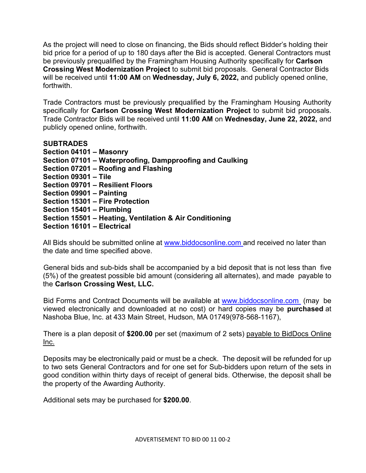As the project will need to close on financing, the Bids should reflect Bidder's holding their bid price for a period of up to 180 days after the Bid is accepted. General Contractors must be previously prequalified by the Framingham Housing Authority specifically for **Carlson Crossing West Modernization Project** to submit bid proposals. General Contractor Bids will be received until **11:00 AM** on **Wednesday, July 6, 2022,** and publicly opened online, forthwith.

Trade Contractors must be previously prequalified by the Framingham Housing Authority specifically for **Carlson Crossing West Modernization Project** to submit bid proposals. Trade Contractor Bids will be received until **11:00 AM** on **Wednesday, June 22, 2022,** and publicly opened online, forthwith.

**SUBTRADES Section 04101 – Masonry Section 07101 – Waterproofing, Dampproofing and Caulking Section 07201 – Roofing and Flashing Section 09301 – Tile Section 09701 – Resilient Floors Section 09901 – Painting Section 15301 – Fire Protection Section 15401 – Plumbing Section 15501 – Heating, Ventilation & Air Conditioning Section 16101 – Electrical**

All Bids should be submitted online at www.biddocsonline.com and received no later than the date and time specified above.

General bids and sub-bids shall be accompanied by a bid deposit that is not less than five (5%) of the greatest possible bid amount (considering all alternates), and made payable to the **Carlson Crossing West, LLC.** 

Bid Forms and Contract Documents will be available at www.biddocsonline.com (may be viewed electronically and downloaded at no cost) or hard copies may be **purchased** at Nashoba Blue, Inc. at 433 Main Street, Hudson, MA 01749(978-568-1167),

There is a plan deposit of **\$200.00** per set (maximum of 2 sets) payable to BidDocs Online Inc.

Deposits may be electronically paid or must be a check. The deposit will be refunded for up to two sets General Contractors and for one set for Sub-bidders upon return of the sets in good condition within thirty days of receipt of general bids. Otherwise, the deposit shall be the property of the Awarding Authority.

Additional sets may be purchased for **\$200.00**.